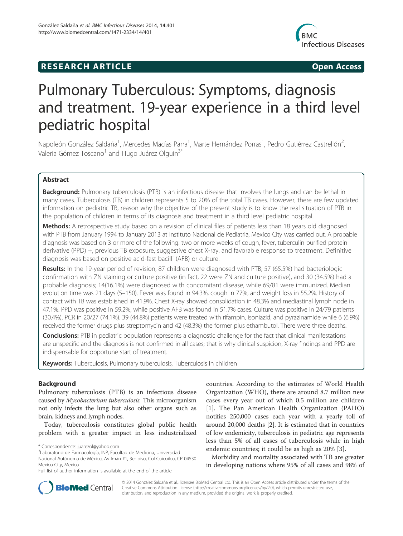## **RESEARCH ARTICLE Example 2014 CONSIDERING CONSIDERING CONSIDERING CONSIDERING CONSIDERING CONSIDERING CONSIDERING CONSIDERING CONSIDERING CONSIDERING CONSIDERING CONSIDERING CONSIDERING CONSIDERING CONSIDERING CONSIDE**



# Pulmonary Tuberculous: Symptoms, diagnosis and treatment. 19-year experience in a third level pediatric hospital

Napoleón González Saldaña<sup>1</sup>, Mercedes Macías Parra<sup>1</sup>, Marte Hernández Porras<sup>1</sup>, Pedro Gutiérrez Castrellón<sup>2</sup> , Valeria Gómez Toscano<sup>1</sup> and Hugo Juárez Olguin<sup>3\*</sup>

## Abstract

Background: Pulmonary tuberculosis (PTB) is an infectious disease that involves the lungs and can be lethal in many cases. Tuberculosis (TB) in children represents 5 to 20% of the total TB cases. However, there are few updated information on pediatric TB, reason why the objective of the present study is to know the real situation of PTB in the population of children in terms of its diagnosis and treatment in a third level pediatric hospital.

Methods: A retrospective study based on a revision of clinical files of patients less than 18 years old diagnosed with PTB from January 1994 to January 2013 at Instituto Nacional de Pediatria, Mexico City was carried out. A probable diagnosis was based on 3 or more of the following: two or more weeks of cough, fever, tuberculin purified protein derivative (PPD) +, previous TB exposure, suggestive chest X-ray, and favorable response to treatment. Definitive diagnosis was based on positive acid-fast bacilli (AFB) or culture.

Results: In the 19-year period of revision, 87 children were diagnosed with PTB; 57 (65.5%) had bacteriologic confirmation with ZN staining or culture positive (in fact, 22 were ZN and culture positive), and 30 (34.5%) had a probable diagnosis; 14(16.1%) were diagnosed with concomitant disease, while 69/81 were immunized. Median evolution time was 21 days (5–150). Fever was found in 94.3%, cough in 77%, and weight loss in 55.2%. History of contact with TB was established in 41.9%. Chest X-ray showed consolidation in 48.3% and mediastinal lymph node in 47.1%. PPD was positive in 59.2%, while positive AFB was found in 51.7% cases. Culture was positive in 24/79 patients (30.4%), PCR in 20/27 (74.1%). 39 (44.8%) patients were treated with rifampin, isoniazid, and pyrazinamide while 6 (6.9%) received the former drugs plus streptomycin and 42 (48.3%) the former plus ethambutol. There were three deaths.

**Conclusions:** PTB in pediatric population represents a diagnostic challenge for the fact that clinical manifestations are unspecific and the diagnosis is not confirmed in all cases; that is why clinical suspicion, X-ray findings and PPD are indispensable for opportune start of treatment.

Keywords: Tuberculosis, Pulmonary tuberculosis, Tuberculosis in children

## Background

Pulmonary tuberculosis (PTB) is an infectious disease caused by Mycobacterium tuberculosis. This microorganism not only infects the lung but also other organs such as brain, kidneys and lymph nodes.

Today, tuberculosis constitutes global public health problem with a greater impact in less industrialized

countries. According to the estimates of World Health Organization (WHO), there are around 8.7 million new cases every year out of which 0.5 million are children [1]. The Pan American Health Organization (PAHO) notifies 250,000 cases each year with a yearly toll of around 20,000 deaths [2]. It is estimated that in countries of low endemicity, tuberculosis in pediatric age represents less than 5% of all cases of tuberculosis while in high endemic countries; it could be as high as 20% [3].

Morbidity and mortality associated with TB are greater in developing nations where 95% of all cases and 98% of



© 2014 González Saldaña et al.; licensee BioMed Central Ltd. This is an Open Access article distributed under the terms of the Creative Commons Attribution License (http://creativecommons.org/licenses/by/2.0), which permits unrestricted use, distribution, and reproduction in any medium, provided the original work is properly credited.

<sup>\*</sup> Correspondence: juarezol@yahoo.com <sup>3</sup>

Laboratorio de Farmacología, INP, Facultad de Medicina, Universidad Nacional Autónoma de México, Av Imán #1, 3er piso, Col Cuicuilco, CP 04530 Mexico City, Mexico

Full list of author information is available at the end of the article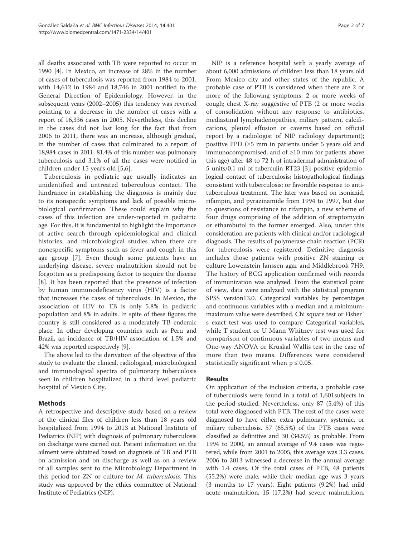all deaths associated with TB were reported to occur in 1990 [4]. In Mexico, an increase of 28% in the number of cases of tuberculosis was reported from 1984 to 2001, with 14,612 in 1984 and 18,746 in 2001 notified to the General Direction of Epidemiology. However, in the subsequent years (2002–2005) this tendency was reverted pointing to a decrease in the number of cases with a report of 16,336 cases in 2005. Nevertheless, this decline in the cases did not last long for the fact that from 2006 to 2011, there was an increase, although gradual, in the number of cases that culminated to a report of 18,984 cases in 2011. 81.4% of this number was pulmonary tuberculosis and 3.1% of all the cases were notified in children under 15 years old [5,6].

Tuberculosis in pediatric age usually indicates an unidentified and untreated tuberculous contact. The hindrance in establishing the diagnosis is mainly due to its nonspecific symptoms and lack of possible microbiological confirmation. These could explain why the cases of this infection are under-reported in pediatric age. For this, it is fundamental to highlight the importance of active search through epidemiological and clinical histories, and microbiological studies when there are nonespecific symptoms such as fever and cough in this age group [7]. Even though some patients have an underlying disease, severe malnutrition should not be forgotten as a predisposing factor to acquire the disease [8]. It has been reported that the presence of infection by human immunodeficiency virus (HIV) is a factor that increases the cases of tuberculosis. In Mexico, the association of HIV to TB is only 5.8% in pediatric population and 8% in adults. In spite of these figures the country is still considered as a moderately TB endemic place. In other developing countries such as Peru and Brazil, an incidence of TB/HIV association of 1.5% and 42% was reported respectively [9].

The above led to the derivation of the objective of this study to evaluate the clinical, radiological, microbiological and immunological spectra of pulmonary tuberculosis seen in children hospitalized in a third level pediatric hospital of Mexico City.

## Methods

A retrospective and descriptive study based on a review of the clinical files of children less than 18 years old hospitalized from 1994 to 2013 at National Institute of Pediatrics (NIP) with diagnosis of pulmonary tuberculosis on discharge were carried out. Patient information on the ailment were obtained based on diagnosis of TB and PTB on admission and on discharge as well as on a review of all samples sent to the Microbiology Department in this period for ZN or culture for M. tuberculosis. This study was approved by the ethics committee of National Institute of Pediatrics (NIP).

NIP is a reference hospital with a yearly average of about 6,000 admissions of children less than 18 years old From Mexico city and other states of the republic. A probable case of PTB is considered when there are 2 or more of the following symptoms: 2 or more weeks of cough; chest X-ray suggestive of PTB (2 or more weeks of consolidation without any response to antibiotics, mediastinal lymphadenopathies, miliary pattern, calcifications, pleural effusion or caverns based on official report by a radiologist of NIP radiology department); positive PPD (≥5 mm in patients under 5 years old and immunocompromised, and of ≥10 mm for patients above this age) after 48 to 72 h of intradermal administration of 5 units/0.1 ml of tuberculin RT23 [3]; positive epidemiological contact of tuberculosis; histopathological findings consistent with tuberculosis; or favorable response to antituberculous treatment. The later was based on isoniazid, rifampin, and pyrazinamide from 1994 to 1997, but due to questions of resistance to rifampin, a new scheme of four drugs comprising of the addition of streptomycin or ethambutol to the former emerged. Also, under this consideration are patients with clinical and/or radiological diagnosis. The results of polymerase chain reaction (PCR) for tuberculosis were registered. Definitive diagnosis includes those patients with positive ZN staining or culture Lowenstein Janssen agar and Middlebrook 7H9. The history of BCG application confirmed with records of immunization was analyzed. From the statistical point of view, data were analyzed with the statistical program SPSS version13.0. Categorical variables by percentages and continuous variables with a median and a minimummaximum value were described. Chi square test or Fisher´ s exact test was used to compare Categorical variables, while T student or U Mann Whitney test was used for comparison of continuous variables of two means and One-way ANOVA or Kruskal Wallis test in the case of more than two means. Differences were considered statistically significant when  $p \leq 0.05$ .

## Results

On application of the inclusion criteria, a probable case of tuberculosis were found in a total of 1,601subjects in the period studied. Nevertheless, only 87 (5.4%) of this total were diagnosed with PTB. The rest of the cases were diagnosed to have either extra pulmonary, systemic, or miliary tuberculosis. 57 (65.5%) of the PTB cases were classified as definitive and 30 (34.5%) as probable. From 1994 to 2000, an annual average of 9.4 cases was registered, while from 2001 to 2005, this average was 3.3 cases. 2006 to 2013 witnessed a decrease in the annual average with 1.4 cases. Of the total cases of PTB, 48 patients (55.2%) were male, while their median age was 3 years (3 months to 17 years). Eight patients (9.2%) had mild acute malnutrition, 15 (17.2%) had severe malnutrition,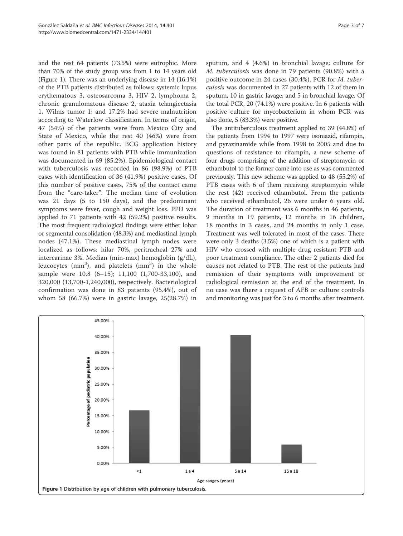and the rest 64 patients (73.5%) were eutrophic. More than 70% of the study group was from 1 to 14 years old (Figure 1). There was an underlying disease in 14 (16.1%) of the PTB patients distributed as follows: systemic lupus erythematous 3, osteosarcoma 3, HIV 2, lymphoma 2, chronic granulomatous disease 2, ataxia telangiectasia 1, Wilms tumor 1; and 17.2% had severe malnutrition according to Waterlow classification. In terms of origin, 47 (54%) of the patients were from Mexico City and State of Mexico, while the rest 40 (46%) were from other parts of the republic. BCG application history was found in 81 patients with PTB while immunization was documented in 69 (85.2%). Epidemiological contact with tuberculosis was recorded in 86 (98.9%) of PTB cases with identification of 36 (41.9%) positive cases. Of this number of positive cases, 75% of the contact came from the "care-taker". The median time of evolution was 21 days (5 to 150 days), and the predominant symptoms were fever, cough and weight loss. PPD was applied to 71 patients with 42 (59.2%) positive results. The most frequent radiological findings were either lobar or segmental consolidation (48.3%) and mediastinal lymph nodes (47.1%). These mediastinal lymph nodes were localized as follows: hilar 70%, peritracheal 27% and intercarinae 3%. Median (min-max) hemoglobin (g/dL), leucocytes ( $mm<sup>3</sup>$ ), and platelets ( $mm<sup>3</sup>$ ) in the whole sample were 10.8 (6–15); 11,100 (1,700-33,100), and 320,000 (13,700-1,240,000), respectively. Bacteriological confirmation was done in 83 patients (95.4%), out of whom 58 (66.7%) were in gastric lavage, 25(28.7%) in

sputum, and 4 (4.6%) in bronchial lavage; culture for M. tuberculosis was done in 79 patients (90.8%) with a positive outcome in 24 cases (30.4%). PCR for M. tuberculosis was documented in 27 patients with 12 of them in sputum, 10 in gastric lavage, and 5 in bronchial lavage. Of the total PCR, 20 (74.1%) were positive. In 6 patients with positive culture for mycobacterium in whom PCR was also done, 5 (83.3%) were positive.

The antituberculous treatment applied to 39 (44.8%) of the patients from 1994 to 1997 were isoniazid, rifampin, and pyrazinamide while from 1998 to 2005 and due to questions of resistance to rifampin, a new scheme of four drugs comprising of the addition of streptomycin or ethambutol to the former came into use as was commented previously. This new scheme was applied to 48 (55.2%) of PTB cases with 6 of them receiving streptomycin while the rest (42) received ethambutol. From the patients who received ethambutol, 26 were under 6 years old. The duration of treatment was 6 months in 46 patients, 9 months in 19 patients, 12 months in 16 children, 18 months in 3 cases, and 24 months in only 1 case. Treatment was well tolerated in most of the cases. There were only 3 deaths (3.5%) one of which is a patient with HIV who crossed with multiple drug resistant PTB and poor treatment compliance. The other 2 patients died for causes not related to PTB. The rest of the patients had remission of their symptoms with improvement or radiological remission at the end of the treatment. In no case was there a request of AFB or culture controls and monitoring was just for 3 to 6 months after treatment.

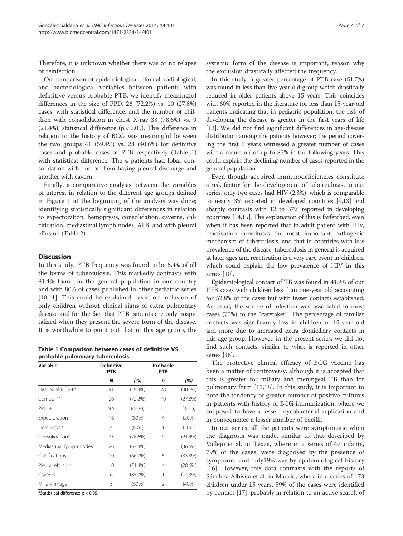Therefore, it is unknown whether there was or no relapse or reinfection.

On comparison of epidemiological, clinical, radiological, and bacteriological variables between patients with definitive versus probable PTB, we identify meaningful differences in the size of PPD, 26 (72.2%) vs. 10 (27.8%) cases, with statistical difference, and the number of children with consolidation in chest X-ray 33 (78.6%) vs. 9 (21.4%), statistical difference ( $p < 0.05$ ). This difference in relation to the history of BCG was meaningful between the two groups 41 (59.4%) vs. 28 (40.6%) for definitive cases and probable cases of PTB respectively (Table 1) with statistical difference. The 4 patients had lobar consolidation with one of them having pleural discharge and another with cavern.

Finally, a comparative analysis between the variables of interest in relation to the different age groups defined in Figure 1 at the beginning of the analysis was done; identifying statistically significant differences in relation to expectoration, hemoptysis, consolidation, caverns, calcification, mediastinal lymph nodes, AFB, and with pleural effusion (Table 2).

## **Discussion**

In this study, PTB frequency was found to be 5.4% of all the forms of tuberculosis. This markedly contrasts with 81.4% found in the general population in our country and with 80% of cases published in other pediatric series [10,11]. This could be explained based on inclusion of only children without clinical signs of extra pulmonary disease and for the fact that PTB patients are only hospitalized when they present the severe form of the disease. It is worthwhile to point out that in this age group, the

Table 1 Comparison between cases of definitive VS probable pulmonary tuberculosis

| Variable                | <b>Definitive</b><br><b>PTB</b> |            | Probable<br><b>PTB</b> |            |
|-------------------------|---------------------------------|------------|------------------------|------------|
|                         | N                               | (%)        | n                      | (%)        |
| History of $BCG +$ *    | 41                              | $(59.4\%)$ | 28                     | (40.6%)    |
| $Combe +*$              | 26                              | (72.2%)    | 10                     | (27.8%)    |
| $PPD +$                 | 9.5                             | $(0 - 30)$ | 3.0                    | $(0 - 15)$ |
| Expectoration           | 16                              | (80%)      | 4                      | (20%)      |
| Hemoptysis              | $\overline{4}$                  | (80%)      | 1                      | (20%)      |
| Consolidation*          | 33                              | (78.6%)    | 9                      | $(21.4\%)$ |
| Mediastinal lymph nodes | 26                              | $(63.4\%)$ | 15                     | $(36.6\%)$ |
| Calcifications          | 10                              | (66.7%)    | 5                      | (33.3%)    |
| Pleural effusion        | 10                              | $(71.4\%)$ | 4                      | (28.6%)    |
| Caverns                 | 6                               | (85.7%)    | 1                      | (14.3%)    |
| Miliary image           | 3                               | (60%)      | 2                      | (40%)      |

\*Statistical difference p < 0.05.

systemic form of the disease is important, reason why the exclusion drastically affected the frequency.

In this study, a greater percentage of PTB case (51.7%) was found in less than five-year old group which drastically reduced in older patients above 15 years. This coincides with 60% reported in the literature for less than 15-year-old patients indicating that in pediatric population, the risk of developing the disease is greater in the first years of life [12]. We did not find significant differences in age-disease distribution among the patients however; the period covering the first 6 years witnessed a greater number of cases with a reduction of up to 85% in the following years. This could explain the declining number of cases reported in the general population.

Even though acquired immunodeficiencies constitute a risk factor for the development of tuberculosis, in our series, only two cases had HIV (2.3%), which is comparable to nearly 3% reported in developed countries [9,13] and sharply contrasts with 12 to 37% reported in developing countries [14,15]. The explanation of this is farfetched, even when it has been reported that in adult patient with HIV, reactivation constitutes the most important pathogenic mechanism of tuberculosis, and that in countries with less prevalence of the disease, tuberculosis in general is acquired at later ages and reactivation is a very rare event in children, which could explain the low prevalence of HIV in this series [10].

Epidemiological contact of TB was found in 41.9% of our PTB cases with children less than one-year old accounting for 52.8% of the cases but with lesser contacts established. As usual, the source of infection was associated in most cases (75%) to the "caretaker". The percentage of familiar contacts was significantly less in children of 15-year old and more due to increased extra domiciliary contacts in this age group. However, in the present series, we did not find such contacts, similar to what is reported in other series [16].

The protective clinical efficacy of BCG vaccine has been a matter of controversy, although it is accepted that this is greater for miliary and meningeal TB than for pulmonary form [17,18]. In this study, it is important to note the tendency of greater number of positive cultures in patients with history of BCG immunization, where we supposed to have a lesser mycobacterial replication and in consequence a lesser number of bacilli.

In our series, all the patients were symptomatic when the diagnosis was made, similar to that described by Vallejo et al. in Texas, where in a series of 47 infants, 79% of the cases, were diagnosed by the presence of symptoms, and only19% was by epidemiological history [16]. However, this data contrasts with the reports of Sánchez-Albisua et al. in Madrid, where in a series of 173 children under 15 years, 59% of the cases were identified by contact [17], probably in relation to an active search of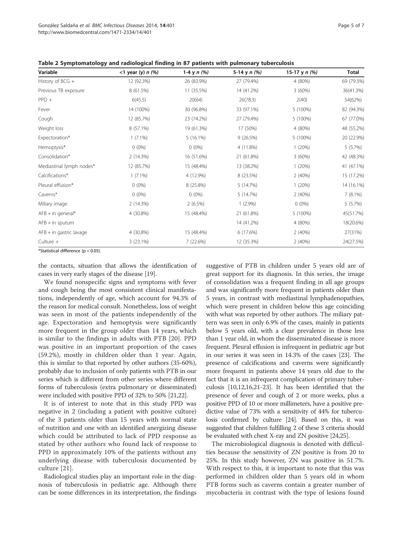| Variable                  | $<$ 1 year (y) n $(\%)$ | 1-4 y $n$ (%) | 5-14 y n (%) | 15-17 y $n$ (%) | Total      |
|---------------------------|-------------------------|---------------|--------------|-----------------|------------|
|                           |                         |               |              |                 |            |
| History of BCG +          | 12 (92.3%)              | 26 (83.9%)    | 27 (79.4%)   | 4 (80%)         | 69 (79.3%) |
| Previous TB exposure      | 8 (61.5%)               | 11 (35.5%)    | 14 (41.2%)   | 3(60%)          | 36(41.3%)  |
| $PPD +$                   | 6(45.5)                 | 20(64)        | 26(78.3)     | 2(40)           | 54(62%)    |
| Fever                     | 14 (100%)               | 30 (96.8%)    | 33 (97.1%)   | 5 (100%)        | 82 (94.3%) |
| Cough                     | 12 (85.7%)              | 23 (74.2%)    | 27 (79.4%)   | 5 (100%)        | 67 (77.0%) |
| Weight loss               | 8 (57.1%)               | 19 (61.3%)    | 17 (50%)     | 4 (80%)         | 48 (55.2%) |
| Expectoration*            | $1(7.1\%)$              | $5(16.1\%)$   | 9(26.5%)     | 5 (100%)        | 20 (22.9%) |
| Hemoptysis*               | $0(0\%)$                | $0(0\%)$      | 4 (11.8%)    | 1(20%)          | 5(5.7%)    |
| Consolidation*            | 2 (14.3%)               | 16 (51.6%)    | 21 (61.8%)   | 3(60%)          | 42 (48.3%) |
| Mediastinal lymph nodes*  | 12 (85.7%)              | 15 (48.4%)    | 13 (38.2%)   | 1(20%)          | 41 (47.1%) |
| Calcifications*           | $1(7.1\%)$              | 4 (12.9%)     | 8 (23.5%)    | 2(40%)          | 15 (17.2%) |
| Pleural effusion*         | $0(0\%)$                | 8 (25.8%)     | 5 (14.7%)    | 1(20%)          | 14 (16.1%) |
| Caverns*                  | $0(0\%)$                | $0(0\%)$      | 5 (14.7%)    | 2(40%)          | 7(8.1%)    |
| Miliary image             | 2 (14.3%)               | $2(6.5\%)$    | $1(2.9\%)$   | $0(0\%)$        | $5(5.7\%)$ |
| $AFB + in general*$       | 4 (30.8%)               | 15 (48.4%)    | 21 (61.8%)   | 5 (100%)        | 45(51.7%)  |
| $AFB + in$ sputum         |                         |               | 14 (41.2%)   | 4 (80%)         | 18(20.6%)  |
| $AFB + in$ gastric lavage | 4 (30.8%)               | 15 (48.4%)    | 6 (17.6%)    | 2(40%)          | 27(31%)    |
| $Culture +$               | $3(23.1\%)$             | 7 (22.6%)     | 12 (35.3%)   | 2(40%)          | 24(27.5%)  |

Table 2 Symptomatology and radiological finding in 87 patients with pulmonary tuberculosis

\*Statistical difference (p < 0.05).

the contacts, situation that allows the identification of cases in very early stages of the disease [19].

We found nonspecific signs and symptoms with fever and cough being the most consistent clinical manifestations, independently of age, which account for 94.3% of the reason for medical consult. Nonetheless, loss of weight was seen in most of the patients independently of the age. Expectoration and hemoptysis were significantly more frequent in the group older than 14 years, which is similar to the findings in adults with PTB [20]. PPD was positive in an important proportion of the cases (59.2%), mostly in children older than 1 year. Again, this is similar to that reported by other authors (35-60%), probably due to inclusion of only patients with PTB in our series which is different from other series where different forms of tuberculosis (extra pulmonary or disseminated) were included with positive PPD of 32% to 50% [21,22].

It is of interest to note that in this study PPD was negative in 2 (including a patient with positive culture) of the 3 patients older than 15 years with normal state of nutrition and one with an identified anergizing disease which could be attributed to lack of PPD response as stated by other authors who found lack of response to PPD in approximately 10% of the patients without any underlying disease with tuberculosis documented by culture [21].

Radiological studies play an important role in the diagnosis of tuberculosis in pediatric age. Although there can be some differences in its interpretation, the findings

suggestive of PTB in children under 5 years old are of great support for its diagnosis. In this series, the image of consolidation was a frequent finding in all age groups and was significantly more frequent in patients older than 5 years, in contrast with mediastinal lymphadenopathies, which were present in children below this age coinciding with what was reported by other authors. The miliary pattern was seen in only 6.9% of the cases, mainly in patients below 5 years old, with a clear prevalence in those less than 1 year old, in whom the disseminated disease is more frequent. Pleural effusion is infrequent in pediatric age but in our series it was seen in 14.3% of the cases [23]. The presence of calcifications and caverns were significantly more frequent in patients above 14 years old due to the fact that it is an infrequent complication of primary tuberculosis [10,12,16,21-23]. It has been identified that the presence of fever and cough of 2 or more weeks, plus a positive PPD of 10 or more millimeters, have a positive predictive value of 73% with a sensitivity of 44% for tuberculosis confirmed by culture [24]. Based on this, it was suggested that children fulfilling 2 of these 3 criteria should be evaluated with chest X-ray and ZN positive [24,25].

The microbiological diagnosis is denoted with difficulties because the sensitivity of ZN positive is from 20 to 25%. In this study however, ZN was positive in 51.7%. With respect to this, it is important to note that this was performed in children older than 5 years old in whom PTB forms such as caverns contain a greater number of mycobacteria in contrast with the type of lesions found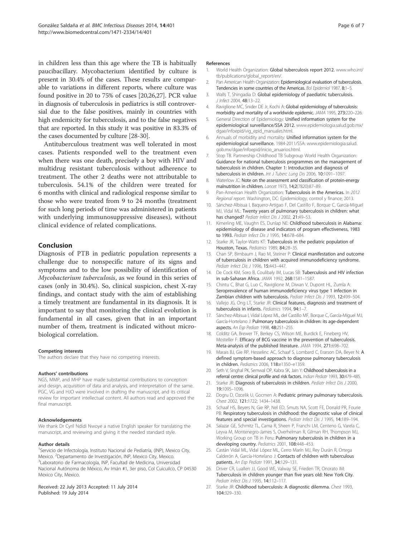in children less than this age where the TB is habitually paucibacillary. Mycobacterium identified by culture is present in 30.4% of the cases. These results are comparable to variations in different reports, where culture was found positive in 20 to 75% of cases [20,26,27]. PCR value in diagnosis of tuberculosis in pediatrics is still controversial due to the false positives, mainly in countries with high endemicity for tuberculosis, and to the false negatives that are reported. In this study it was positive in 83.3% of the cases documented by culture [28-30].

Antituberculous treatment was well tolerated in most cases. Patients responded well to the treatment even when there was one death, precisely a boy with HIV and multidrug resistant tuberculosis without adherence to treatment. The other 2 deaths were not attributable to tuberculosis. 54.1% of the children were treated for 6 months with clinical and radiological response similar to those who were treated from 9 to 24 months (treatment for such long periods of time was administered in patients with underlying immunosuppressive diseases), without clinical evidence of related complications.

## Conclusion

Diagnosis of PTB in pediatric population represents a challenge due to nonspecific nature of its signs and symptoms and to the low possibility of identification of Mycobacterium tuberculosis, as we found in this series of cases (only in 30.4%). So, clinical suspicion, chest X-ray findings, and contact study with the aim of establishing a timely treatment are fundamental in its diagnosis. It is important to say that monitoring the clinical evolution is fundamental in all cases, given that in an important number of them, treatment is indicated without microbiological correlation.

#### Competing interests

The authors declare that they have no competing interests.

#### Authors' contributions

NGS, MMP, and MHP have made substantial contributions to conception and design, acquisition of data and analysis, and interpretation of the same. PGC, VG and HJO were involved in drafting the manuscript, and its critical review for important intellectual content. All authors read and approved the final manuscript.

#### Acknowledgements

We thank Dr Cyril Ndidi Nwoye a native English speaker for translating the manuscript, and reviewing and giving it the needed standard style.

#### Author details

<sup>1</sup>Servicio de Infectología, Instituto Nacional de Pediatría, (INP), Mexico City, Mexico. <sup>2</sup> Departamento de Investigación, INP, Mexico City, Mexico.<br><sup>3</sup> I aberatorio de Earmacología. INP, Escultad de Medicina. Universid <sup>3</sup> Laboratorio de Farmacología, INP, Facultad de Medicina, Universidad Nacional Autónoma de México, Av Imán #1, 3er piso, Col Cuicuilco, CP 04530 Mexico City, Mexico.

#### Received: 22 July 2013 Accepted: 11 July 2014 Published: 19 July 2014

#### References

- 1. World Health Organization: Global tuberculosis report 2012. www.who.int/ tb/publications/global\_report/en/.
- 2. Pan American Health Organization: Epidemiological evaluation of tuberculosis. Tendencies in some countries of the Americas. Bol Epidemiol 1987, 8:1–5.
- 3. Walls T, Shingadia D: Global epidemiology of paediatric tuberculosis. J Infect 2004, 48:13–22.
- 4. Raviglione MC, Snider DE Jr, Kochi A: Global epidemiology of tuberculosis: morbidity and mortality of a worldwide epidemic. JAMA 1995, 273:220–226.
- 5. General Direction of Epidemiology: Unified information system for the epidemiological surveillance/SSA 2012. www.epidemiologia.salud.gob.mx/ dgae/infoepid/vig\_epid\_manuales.html.
- Annuals of morbidity and mortality: Unified information system for the epidemiological surveillance. 1984-2011/SSA: www.epidemiologia.salud. gob.mx/dgae/infoepid/inicio\_anuarios.html.
- 7. Stop TB. Partnership Childhood TB Subgroup World Health Organization: Guidance for national tuberculosis programmes on the management of tuberculosis in children. Chapter 1: Introduction and diagnosis of tuberculosis in children. Int J Tuberc Lung Dis 2006, 10:1091–1097.
- 8. Waterlow JC: Note on the assessment and classification of protein-energy malnutrition in children. Lancet 1973, 14;2(7820):87–89.
- 9. Pan-American Health Organization: Tuberculosis in the Americas. In 2012 Regional report. Washington, DC: Epidemiology, control y finance; 2013.
- 10. Sánchez-Albisua I, Baquero-Artigao F, Del Castillo F, Borque C, García-Miguel MJ, Vidal ML: Twenty years of pulmonary tuberculosis in children: what has changed? Pediatr Infect Dis J 2002, 21:49-53.
- 11. Kimerling ME, Vaughn ES, Dunlap NE: Childhood tuberculosis in Alabama: epidemiology of disease and indicators of program effectiveness, 1983 to 1993. Pediatr Infect Dis J 1995, 14:678–684.
- 12. Starke JR, Taylor-Watts KT: Tuberculosis in the pediatric population of Houston, Texas. Pediatrics 1989, 84:28–35.
- 13. Chan SP, Birnbaum J, Rao M, Steiner P: Clinical manifestation and outcome of tuberculosis in children with acquired immunodeficiency syndrome. Pediatr Infect Dis J 1996, 15:443–447.
- 14. De Cock KM, Soro B, Coulibaly IM, Lucas SB: Tuberculosis and HIV infection in sub-Saharan Africa. JAMA 1992, 268:1581–1587.
- 15. Chintu C, Bhat G, Luo C, Raviglione M, Diwan V, Dupont HL, Zumla A: Seroprevalence of human immunodeficiency virus type 1 infection in Zambian children with tuberculosis. Pediatr Infect Dis J 1993, 12:499–504.
- 16. Vallejo JG, Ong LT, Starke JR: Clinical features, diagnosis and treatment of tuberculosis in infants. Pediatrics 1994, 94:1–7.
- 17. Sánchez-Albisua I, Vidal López ML, del Castillo MF, Borque C, García-Miguel MJ, García-Hortelano J: Pulmonary tuberculosis in children: its age-dependent aspects. An Esp Pediatr 1998, 48:251–255.
- 18. Colditz GA, Brewer TF, Berkey CS, Wilson ME, Burdick E, Fineberg HV, Mosteller F: Efficacy of BCG vaccine in the prevention of tuberculosis. Meta-analysis of the published literature. JAMA 1994, 271:698–702.
- 19. Marais BJ, Gie RP, Hesselinc AC, Schaaf S, Lombard C, Erarson DA, Beyer N: A defined symptom-based approach to diagnose pulmonary tuberculosis in children. Pediatrics 2006, 118:e1350–e1359.
- 20. Seth V, Singhal PK, Semwal OP, Kabra SK, Jain Y: Childhood tuberculosis in a referral centre: clinical profile and risk factors. Indian Pediatr 1993, 30:479–485.
- 21. Starke JR: Diagnosis of tuberculosis in children. Pediatr Infect Dis J 2000, 19:1095–1096.
- 22. Dogru D, Ozcelik U, Gocmen A: Pediatric primary pulmonary tuberculosis. Chest 2002, 121:1722; 1434–1438.
- 23. Schaaf HS, Beyers N, Gie RP, Nel ED, Smuts NA, Scott FE, Donald PR, Fourie PB: Respiratory tuberculosis in childhood: the diagnostic value of clinical features and special investigations. Pediatr Infect Dis J 1995, 14:189-194.
- 24. Salazar GE, Schmitz TL, Cama R, Sheen P, Franchi LM, Centeno G, Varela C, Leyva M, Montenegro-James S, Overhelman R, Gilman RH, Thompson MJ, Working Group on TB in Peru: Pulmonary tuberculosis in children in a developing country. Pediatrics 2001, 108:448–453.
- 25. Castán Vidal ML, Vidal López ML, Cerro Marín MJ, Rey Durán R, Ortega Calderón A, García-Hortelano J: Contacts of children with tuberculous patients. An Esp Pediatr 1991, 34:129–131.
- 26. Driver CR, Luallen JJ, Good WE, Valway SE, Frieden TR, Onorato IM: Tuberculosis in children younger than five years old: New York City. Pediatr Infect Dis J 1995, 14:112–117.
- 27. Starke JR: Childhood tuberculosis: A diagnostic dilemma. Chest 1993, 104:329–330.